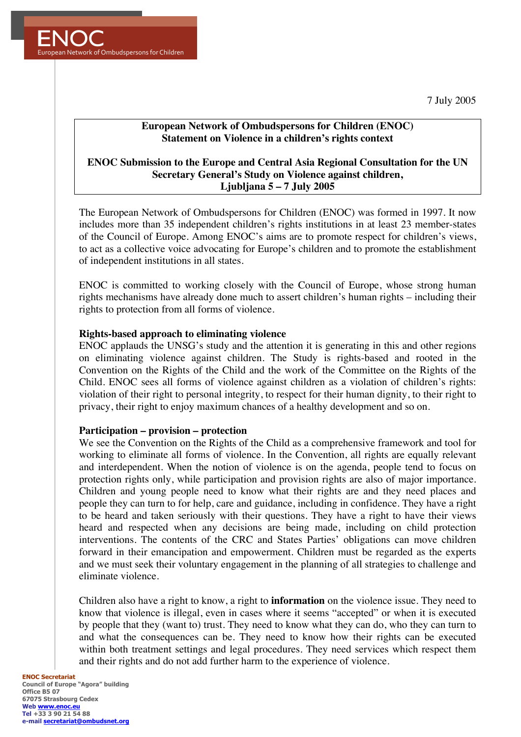7 July 2005



# **European Network of Ombudspersons for Children (ENOC) Statement on Violence in a children's rights context**

# **ENOC Submission to the Europe and Central Asia Regional Consultation for the UN Secretary General's Study on Violence against children, Ljubljana 5 – 7 July 2005**

The European Network of Ombudspersons for Children (ENOC) was formed in 1997. It now includes more than 35 independent children's rights institutions in at least 23 member-states of the Council of Europe. Among ENOC's aims are to promote respect for children's views, to act as a collective voice advocating for Europe's children and to promote the establishment of independent institutions in all states.

ENOC is committed to working closely with the Council of Europe, whose strong human rights mechanisms have already done much to assert children's human rights – including their rights to protection from all forms of violence.

### **Rights-based approach to eliminating violence**

ENOC applauds the UNSG's study and the attention it is generating in this and other regions on eliminating violence against children. The Study is rights-based and rooted in the Convention on the Rights of the Child and the work of the Committee on the Rights of the Child. ENOC sees all forms of violence against children as a violation of children's rights: violation of their right to personal integrity, to respect for their human dignity, to their right to privacy, their right to enjoy maximum chances of a healthy development and so on.

### **Participation – provision – protection**

We see the Convention on the Rights of the Child as a comprehensive framework and tool for working to eliminate all forms of violence. In the Convention, all rights are equally relevant and interdependent. When the notion of violence is on the agenda, people tend to focus on protection rights only, while participation and provision rights are also of major importance. Children and young people need to know what their rights are and they need places and people they can turn to for help, care and guidance, including in confidence. They have a right to be heard and taken seriously with their questions. They have a right to have their views heard and respected when any decisions are being made, including on child protection interventions. The contents of the CRC and States Parties' obligations can move children forward in their emancipation and empowerment. Children must be regarded as the experts and we must seek their voluntary engagement in the planning of all strategies to challenge and eliminate violence.

Children also have a right to know, a right to **information** on the violence issue. They need to know that violence is illegal, even in cases where it seems "accepted" or when it is executed by people that they (want to) trust. They need to know what they can do, who they can turn to and what the consequences can be. They need to know how their rights can be executed within both treatment settings and legal procedures. They need services which respect them and their rights and do not add further harm to the experience of violence.

#### **ENOC Secretariat Council of Europe "Agora" building Office B5 07 67075 Strasbourg Cedex Web www.enoc.e Tel +33 3 90 21 54 88 e-mail secretariat@ombudsnet.org**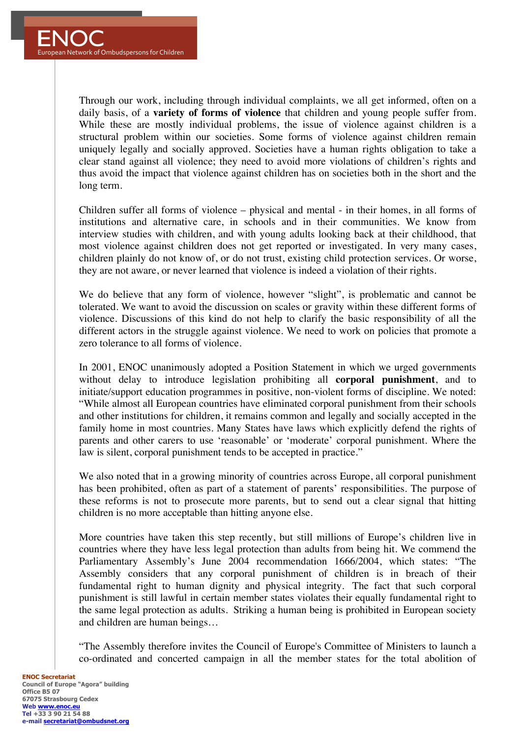Through our work, including through individual complaints, we all get informed, often on a daily basis, of a **variety of forms of violence** that children and young people suffer from. While these are mostly individual problems, the issue of violence against children is a structural problem within our societies. Some forms of violence against children remain uniquely legally and socially approved. Societies have a human rights obligation to take a clear stand against all violence; they need to avoid more violations of children's rights and thus avoid the impact that violence against children has on societies both in the short and the long term.

Children suffer all forms of violence – physical and mental - in their homes, in all forms of institutions and alternative care, in schools and in their communities. We know from interview studies with children, and with young adults looking back at their childhood, that most violence against children does not get reported or investigated. In very many cases, children plainly do not know of, or do not trust, existing child protection services. Or worse, they are not aware, or never learned that violence is indeed a violation of their rights.

We do believe that any form of violence, however "slight", is problematic and cannot be tolerated. We want to avoid the discussion on scales or gravity within these different forms of violence. Discussions of this kind do not help to clarify the basic responsibility of all the different actors in the struggle against violence. We need to work on policies that promote a zero tolerance to all forms of violence.

In 2001, ENOC unanimously adopted a Position Statement in which we urged governments without delay to introduce legislation prohibiting all **corporal punishment**, and to initiate/support education programmes in positive, non-violent forms of discipline. We noted: "While almost all European countries have eliminated corporal punishment from their schools and other institutions for children, it remains common and legally and socially accepted in the family home in most countries. Many States have laws which explicitly defend the rights of parents and other carers to use 'reasonable' or 'moderate' corporal punishment. Where the law is silent, corporal punishment tends to be accepted in practice."

We also noted that in a growing minority of countries across Europe, all corporal punishment has been prohibited, often as part of a statement of parents' responsibilities. The purpose of these reforms is not to prosecute more parents, but to send out a clear signal that hitting children is no more acceptable than hitting anyone else.

More countries have taken this step recently, but still millions of Europe's children live in countries where they have less legal protection than adults from being hit. We commend the Parliamentary Assembly's June 2004 recommendation 1666/2004, which states: "The Assembly considers that any corporal punishment of children is in breach of their fundamental right to human dignity and physical integrity. The fact that such corporal punishment is still lawful in certain member states violates their equally fundamental right to the same legal protection as adults. Striking a human being is prohibited in European society and children are human beings…

"The Assembly therefore invites the Council of Europe's Committee of Ministers to launch a co-ordinated and concerted campaign in all the member states for the total abolition of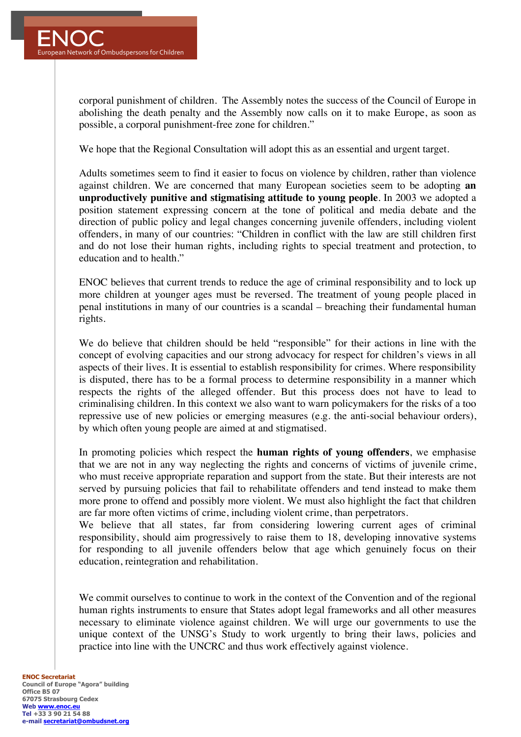corporal punishment of children. The Assembly notes the success of the Council of Europe in abolishing the death penalty and the Assembly now calls on it to make Europe, as soon as possible, a corporal punishment-free zone for children."

We hope that the Regional Consultation will adopt this as an essential and urgent target.

Adults sometimes seem to find it easier to focus on violence by children, rather than violence against children. We are concerned that many European societies seem to be adopting **an unproductively punitive and stigmatising attitude to young people**. In 2003 we adopted a position statement expressing concern at the tone of political and media debate and the direction of public policy and legal changes concerning juvenile offenders, including violent offenders, in many of our countries: "Children in conflict with the law are still children first and do not lose their human rights, including rights to special treatment and protection, to education and to health."

ENOC believes that current trends to reduce the age of criminal responsibility and to lock up more children at younger ages must be reversed. The treatment of young people placed in penal institutions in many of our countries is a scandal – breaching their fundamental human rights.

We do believe that children should be held "responsible" for their actions in line with the concept of evolving capacities and our strong advocacy for respect for children's views in all aspects of their lives. It is essential to establish responsibility for crimes. Where responsibility is disputed, there has to be a formal process to determine responsibility in a manner which respects the rights of the alleged offender. But this process does not have to lead to criminalising children. In this context we also want to warn policymakers for the risks of a too repressive use of new policies or emerging measures (e.g. the anti-social behaviour orders), by which often young people are aimed at and stigmatised.

In promoting policies which respect the **human rights of young offenders**, we emphasise that we are not in any way neglecting the rights and concerns of victims of juvenile crime, who must receive appropriate reparation and support from the state. But their interests are not served by pursuing policies that fail to rehabilitate offenders and tend instead to make them more prone to offend and possibly more violent. We must also highlight the fact that children are far more often victims of crime, including violent crime, than perpetrators.

We believe that all states, far from considering lowering current ages of criminal responsibility, should aim progressively to raise them to 18, developing innovative systems for responding to all juvenile offenders below that age which genuinely focus on their education, reintegration and rehabilitation.

We commit ourselves to continue to work in the context of the Convention and of the regional human rights instruments to ensure that States adopt legal frameworks and all other measures necessary to eliminate violence against children. We will urge our governments to use the unique context of the UNSG's Study to work urgently to bring their laws, policies and practice into line with the UNCRC and thus work effectively against violence.